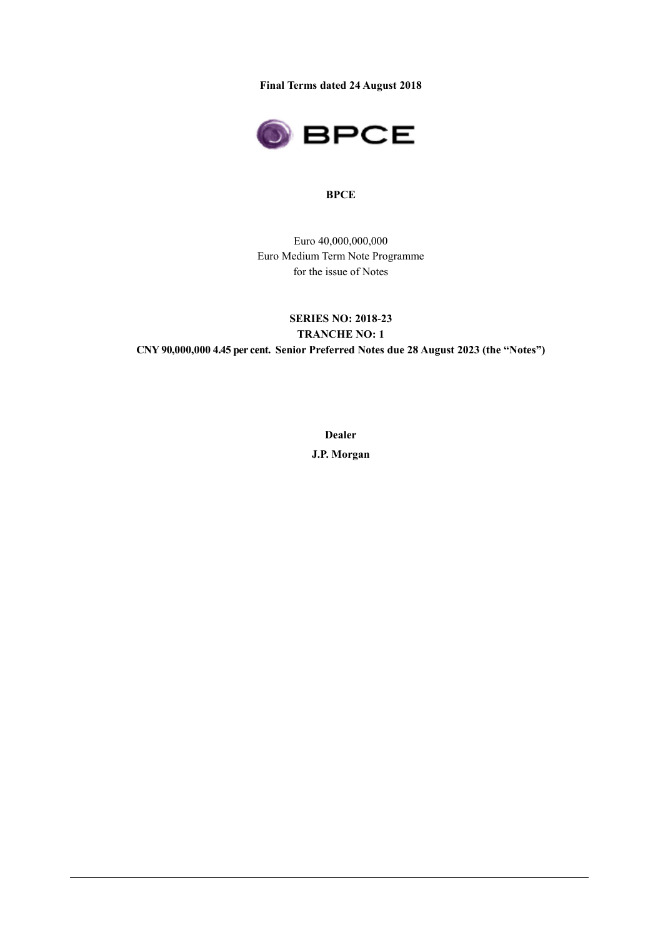**Final Terms dated 24 August 2018**



#### **BPCE**

Euro 40,000,000,000 Euro Medium Term Note Programme for the issue of Notes

# **SERIES NO: 2018-23 TRANCHE NO: 1 CNY 90,000,000 4.45 per cent. Senior Preferred Notes due 28 August 2023 (the "Notes")**

**Dealer J.P. Morgan**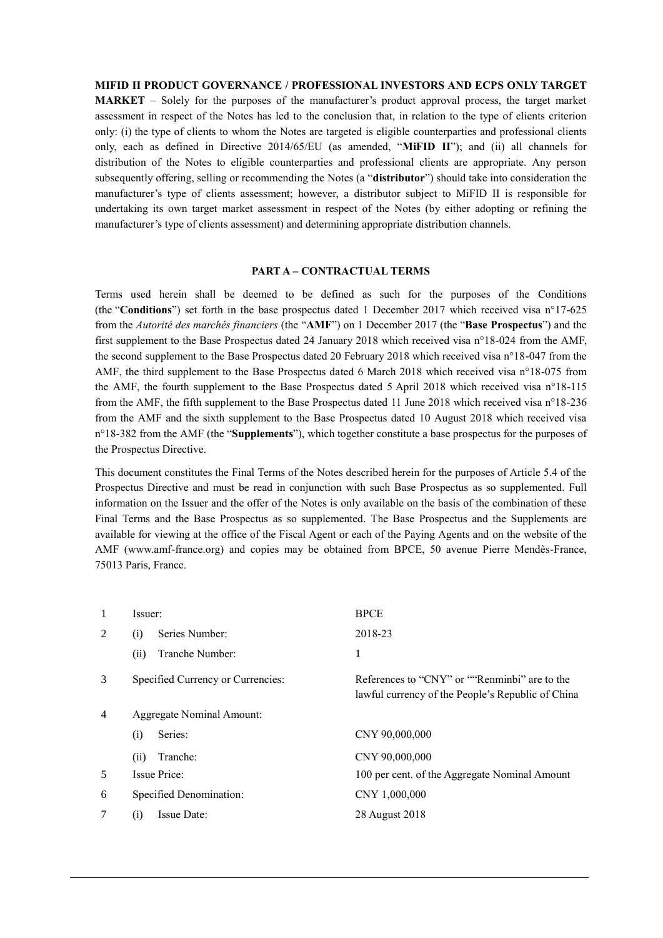#### **MIFID II PRODUCT GOVERNANCE / PROFESSIONAL INVESTORS AND ECPS ONLY TARGET**

**MARKET** – Solely for the purposes of the manufacturer's product approval process, the target market assessment in respect of the Notes has led to the conclusion that, in relation to the type of clients criterion only: (i) the type of clients to whom the Notes are targeted is eligible counterparties and professional clients only, each as defined in Directive 2014/65/EU (as amended, "**MiFID II**"); and (ii) all channels for distribution of the Notes to eligible counterparties and professional clients are appropriate. Any person subsequently offering, selling or recommending the Notes (a "**distributor**") should take into consideration the manufacturer's type of clients assessment; however, a distributor subject to MiFID II is responsible for undertaking its own target market assessment in respect of the Notes (by either adopting or refining the manufacturer's type of clients assessment) and determining appropriate distribution channels.

#### **PART A – CONTRACTUAL TERMS**

Terms used herein shall be deemed to be defined as such for the purposes of the Conditions (the "**Conditions**") set forth in the base prospectus dated 1 December 2017 which received visa n°17-625 from the *Autorité des marchés financiers* (the "**AMF**") on 1 December 2017 (the "**Base Prospectus**") and the first supplement to the Base Prospectus dated 24 January 2018 which received visa n°18-024 from the AMF, the second supplement to the Base Prospectus dated 20 February 2018 which received visa n°18-047 from the AMF, the third supplement to the Base Prospectus dated 6 March 2018 which received visa n°18-075 from the AMF, the fourth supplement to the Base Prospectus dated 5 April 2018 which received visa n°18-115 from the AMF, the fifth supplement to the Base Prospectus dated 11 June 2018 which received visa n°18-236 from the AMF and the sixth supplement to the Base Prospectus dated 10 August 2018 which received visa n°18-382 from the AMF (the "**Supplements**"), which together constitute a base prospectus for the purposes of the Prospectus Directive.

This document constitutes the Final Terms of the Notes described herein for the purposes of Article 5.4 of the Prospectus Directive and must be read in conjunction with such Base Prospectus as so supplemented. Full information on the Issuer and the offer of the Notes is only available on the basis of the combination of these Final Terms and the Base Prospectus as so supplemented. The Base Prospectus and the Supplements are available for viewing at the office of the Fiscal Agent or each of the Paying Agents and on the website of the AMF (www.amf-france.org) and copies may be obtained from BPCE, 50 avenue Pierre Mendès-France, 75013 Paris, France.

| 1 | Issuer:                           | <b>BPCE</b>                                                                                        |
|---|-----------------------------------|----------------------------------------------------------------------------------------------------|
| 2 | Series Number:<br>(i)             | 2018-23                                                                                            |
|   | Tranche Number:<br>(ii)           | 1                                                                                                  |
| 3 | Specified Currency or Currencies: | References to "CNY" or ""Renminbi" are to the<br>lawful currency of the People's Republic of China |
| 4 | Aggregate Nominal Amount:         |                                                                                                    |
|   | Series:<br>(i)                    | CNY 90,000,000                                                                                     |
|   | Tranche:<br>(ii)                  | CNY 90,000,000                                                                                     |
| 5 | Issue Price:                      | 100 per cent. of the Aggregate Nominal Amount                                                      |
| 6 | Specified Denomination:           | CNY 1,000,000                                                                                      |
| 7 | Issue Date:<br>(i)                | 28 August 2018                                                                                     |
|   |                                   |                                                                                                    |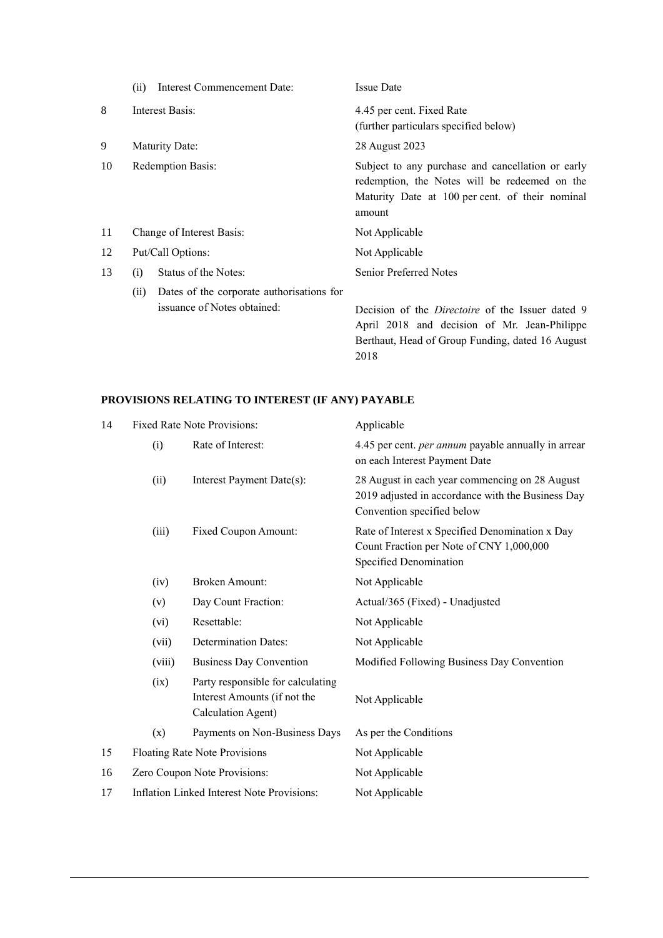|    | <b>Interest Commencement Date:</b><br>(ii)                                       | <b>Issue Date</b>                                                                                                                                               |
|----|----------------------------------------------------------------------------------|-----------------------------------------------------------------------------------------------------------------------------------------------------------------|
| 8  | Interest Basis:                                                                  | 4.45 per cent. Fixed Rate<br>(further particulars specified below)                                                                                              |
| 9  | Maturity Date:                                                                   | 28 August 2023                                                                                                                                                  |
| 10 | <b>Redemption Basis:</b>                                                         | Subject to any purchase and cancellation or early<br>redemption, the Notes will be redeemed on the<br>Maturity Date at 100 per cent. of their nominal<br>amount |
| 11 | Change of Interest Basis:                                                        | Not Applicable                                                                                                                                                  |
| 12 | Put/Call Options:                                                                | Not Applicable                                                                                                                                                  |
| 13 | Status of the Notes:<br>(i)                                                      | <b>Senior Preferred Notes</b>                                                                                                                                   |
|    | Dates of the corporate authorizations for<br>(ii)<br>issuance of Notes obtained: | Decision of the <i>Directoire</i> of the Issuer dated 9<br>April 2018 and decision of Mr. Jean-Philippe<br>Berthaut, Head of Group Funding, dated 16 August     |

2018

# **PROVISIONS RELATING TO INTEREST (IF ANY) PAYABLE**

| 14 |                                          | <b>Fixed Rate Note Provisions:</b>                                                      | Applicable                                                                                                                        |  |  |
|----|------------------------------------------|-----------------------------------------------------------------------------------------|-----------------------------------------------------------------------------------------------------------------------------------|--|--|
|    | (i)                                      | Rate of Interest:                                                                       | 4.45 per cent. <i>per annum</i> payable annually in arrear<br>on each Interest Payment Date                                       |  |  |
|    | (ii)                                     | Interest Payment Date(s):                                                               | 28 August in each year commencing on 28 August<br>2019 adjusted in accordance with the Business Day<br>Convention specified below |  |  |
|    | (iii)                                    | Fixed Coupon Amount:                                                                    | Rate of Interest x Specified Denomination x Day<br>Count Fraction per Note of CNY 1,000,000<br>Specified Denomination             |  |  |
|    | (iv)                                     | <b>Broken Amount:</b>                                                                   | Not Applicable                                                                                                                    |  |  |
|    | (v)                                      | Day Count Fraction:                                                                     | Actual/365 (Fixed) - Unadjusted                                                                                                   |  |  |
|    | (vi)                                     | Resettable:                                                                             | Not Applicable                                                                                                                    |  |  |
|    | (vii)                                    | <b>Determination Dates:</b>                                                             | Not Applicable                                                                                                                    |  |  |
|    | (viii)<br><b>Business Day Convention</b> |                                                                                         | Modified Following Business Day Convention                                                                                        |  |  |
|    | (ix)                                     | Party responsible for calculating<br>Interest Amounts (if not the<br>Calculation Agent) | Not Applicable                                                                                                                    |  |  |
|    | (x)                                      | Payments on Non-Business Days                                                           | As per the Conditions                                                                                                             |  |  |
| 15 |                                          | Floating Rate Note Provisions                                                           | Not Applicable                                                                                                                    |  |  |
| 16 |                                          | Zero Coupon Note Provisions:                                                            | Not Applicable                                                                                                                    |  |  |
| 17 |                                          | <b>Inflation Linked Interest Note Provisions:</b>                                       | Not Applicable                                                                                                                    |  |  |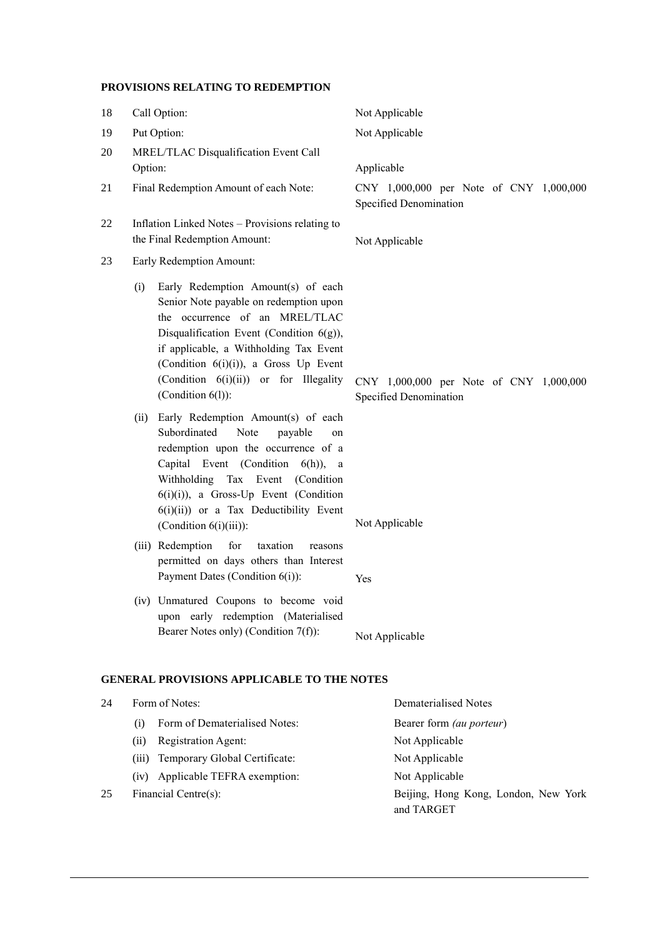## **PROVISIONS RELATING TO REDEMPTION**

| 18 | Call Option:                                                                                                                                                                                                                                                                                                                                                                                                                                                                                                                                                                                                                                                                                                                                                                          | Not Applicable                                                                             |  |  |  |  |  |
|----|---------------------------------------------------------------------------------------------------------------------------------------------------------------------------------------------------------------------------------------------------------------------------------------------------------------------------------------------------------------------------------------------------------------------------------------------------------------------------------------------------------------------------------------------------------------------------------------------------------------------------------------------------------------------------------------------------------------------------------------------------------------------------------------|--------------------------------------------------------------------------------------------|--|--|--|--|--|
| 19 | Put Option:                                                                                                                                                                                                                                                                                                                                                                                                                                                                                                                                                                                                                                                                                                                                                                           | Not Applicable                                                                             |  |  |  |  |  |
| 20 | MREL/TLAC Disqualification Event Call<br>Option:                                                                                                                                                                                                                                                                                                                                                                                                                                                                                                                                                                                                                                                                                                                                      | Applicable                                                                                 |  |  |  |  |  |
| 21 | Final Redemption Amount of each Note:                                                                                                                                                                                                                                                                                                                                                                                                                                                                                                                                                                                                                                                                                                                                                 | CNY 1,000,000 per Note of CNY 1,000,000<br>Specified Denomination                          |  |  |  |  |  |
| 22 | Inflation Linked Notes - Provisions relating to<br>the Final Redemption Amount:                                                                                                                                                                                                                                                                                                                                                                                                                                                                                                                                                                                                                                                                                                       | Not Applicable                                                                             |  |  |  |  |  |
| 23 | Early Redemption Amount:                                                                                                                                                                                                                                                                                                                                                                                                                                                                                                                                                                                                                                                                                                                                                              |                                                                                            |  |  |  |  |  |
|    | Early Redemption Amount(s) of each<br>(i)<br>Senior Note payable on redemption upon<br>the occurrence of an MREL/TLAC<br>Disqualification Event (Condition $6(g)$ ),<br>if applicable, a Withholding Tax Event<br>(Condition $6(i)(i)$ ), a Gross Up Event<br>(Condition 6(i)(ii)) or for Illegality<br>(Condition $6(l)$ ):<br>Early Redemption Amount(s) of each<br>(ii)<br>Subordinated<br>Note<br>payable<br>on<br>redemption upon the occurrence of a<br>Capital Event (Condition 6(h)), a<br>Withholding Tax Event (Condition<br>$6(i)(i)$ , a Gross-Up Event (Condition<br>$6(i)(ii)$ or a Tax Deductibility Event<br>(Condition $6(i)(iii)$ ):<br>(iii) Redemption<br>for<br>taxation<br>reasons<br>permitted on days others than Interest<br>Payment Dates (Condition 6(i)): | CNY 1,000,000 per Note of CNY 1,000,000<br>Specified Denomination<br>Not Applicable<br>Yes |  |  |  |  |  |
|    | (iv) Unmatured Coupons to become void<br>upon early redemption (Materialised<br>Bearer Notes only) (Condition 7(f)):                                                                                                                                                                                                                                                                                                                                                                                                                                                                                                                                                                                                                                                                  | Not Applicable                                                                             |  |  |  |  |  |
|    | <b>GENERAL PROVISIONS APPLICABLE TO THE NOTES</b>                                                                                                                                                                                                                                                                                                                                                                                                                                                                                                                                                                                                                                                                                                                                     |                                                                                            |  |  |  |  |  |
| 24 | Form of Notes:                                                                                                                                                                                                                                                                                                                                                                                                                                                                                                                                                                                                                                                                                                                                                                        | <b>Dematerialised Notes</b>                                                                |  |  |  |  |  |

(i) Form of Dematerialised Notes: Bearer form *(au porteur*) (ii) Registration Agent: Not Applicable (iii) Temporary Global Certificate: Not Applicable (iv) Applicable TEFRA exemption: Not Applicable 25 Financial Centre(s): Beijing, Hong Kong, London, New York and TARGET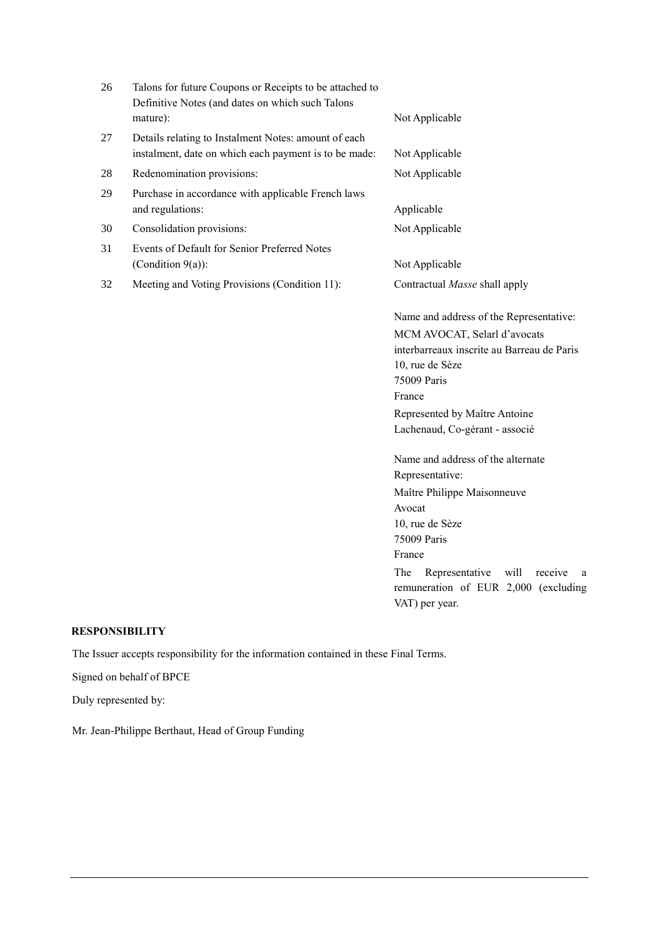| 26 | Talons for future Coupons or Receipts to be attached to<br>Definitive Notes (and dates on which such Talons<br>mature): | Not Applicable                                                                                                                                                                                                                                       |
|----|-------------------------------------------------------------------------------------------------------------------------|------------------------------------------------------------------------------------------------------------------------------------------------------------------------------------------------------------------------------------------------------|
| 27 | Details relating to Instalment Notes: amount of each<br>instalment, date on which each payment is to be made:           | Not Applicable                                                                                                                                                                                                                                       |
| 28 | Redenomination provisions:                                                                                              | Not Applicable                                                                                                                                                                                                                                       |
| 29 | Purchase in accordance with applicable French laws<br>and regulations:                                                  | Applicable                                                                                                                                                                                                                                           |
| 30 | Consolidation provisions:                                                                                               | Not Applicable                                                                                                                                                                                                                                       |
| 31 | Events of Default for Senior Preferred Notes<br>(Condition $9(a)$ ):                                                    | Not Applicable                                                                                                                                                                                                                                       |
| 32 | Meeting and Voting Provisions (Condition 11):                                                                           | Contractual Masse shall apply                                                                                                                                                                                                                        |
|    |                                                                                                                         | Name and address of the Representative:<br>MCM AVOCAT, Selarl d'avocats<br>interbarreaux inscrite au Barreau de Paris<br>10, rue de Sèze<br>75009 Paris<br>France<br>Represented by Maître Antoine<br>Lachenaud, Co-gérant - associé                 |
|    |                                                                                                                         | Name and address of the alternate<br>Representative:<br>Maître Philippe Maisonneuve<br>Avocat<br>10, rue de Sèze<br>75009 Paris<br>France<br>The<br>Representative<br>will<br>receive<br>a<br>remuneration of EUR 2,000 (excluding<br>VAT) per year. |

# **RESPONSIBILITY**

The Issuer accepts responsibility for the information contained in these Final Terms.

Signed on behalf of BPCE

Duly represented by:

Mr. Jean-Philippe Berthaut, Head of Group Funding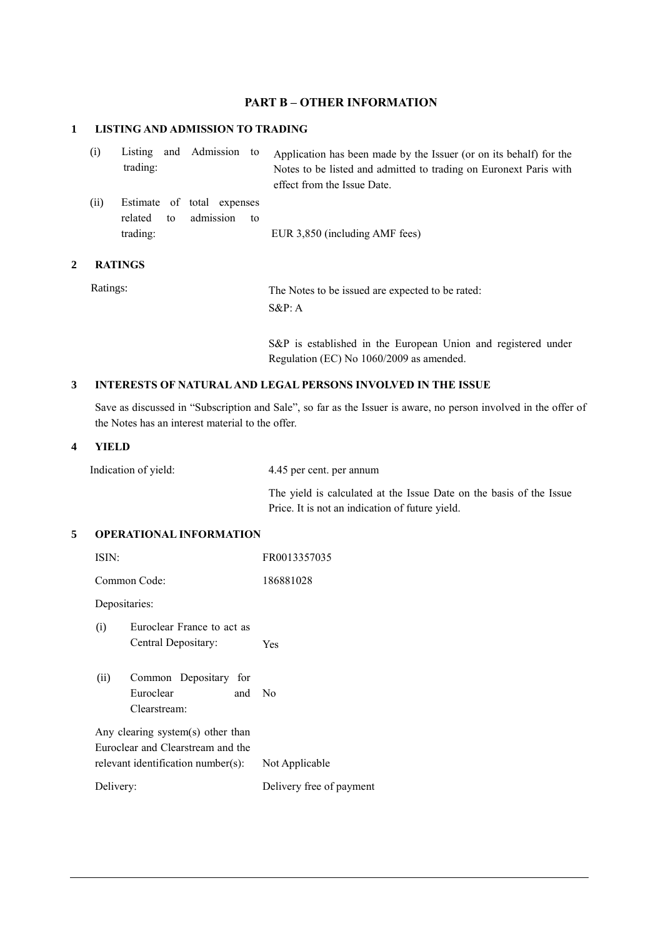## **PART B – OTHER INFORMATION**

#### **1 LISTING AND ADMISSION TO TRADING**

| (i)            | Listing<br>trading: |    | and Admission to                        |    | Application has been made by the Issuer (or on its behalf) for the<br>Notes to be listed and admitted to trading on Euronext Paris with<br>effect from the Issue Date. |
|----------------|---------------------|----|-----------------------------------------|----|------------------------------------------------------------------------------------------------------------------------------------------------------------------------|
| (ii)           | related<br>trading: | to | Estimate of total expenses<br>admission | to | EUR 3,850 (including AMF fees)                                                                                                                                         |
| <b>RATINGS</b> |                     |    |                                         |    |                                                                                                                                                                        |

**2** 

Ratings: The Notes to be issued are expected to be rated: S&P: A

> S&P is established in the European Union and registered under Regulation (EC) No 1060/2009 as amended.

## **3 INTERESTS OF NATURAL AND LEGAL PERSONS INVOLVED IN THE ISSUE**

Save as discussed in "Subscription and Sale", so far as the Issuer is aware, no person involved in the offer of the Notes has an interest material to the offer.

#### **4 YIELD**

Indication of yield: 4.45 per cent. per annum

The yield is calculated at the Issue Date on the basis of the Issue Price. It is not an indication of future yield.

## **5 OPERATIONAL INFORMATION**

| ISIN:         |                                                                        | FR0013357035             |
|---------------|------------------------------------------------------------------------|--------------------------|
|               | Common Code:                                                           | 186881028                |
| Depositaries: |                                                                        |                          |
| (i)           | Euroclear France to act as<br>Central Depositary:                      | Yes                      |
| (ii)          | Common Depositary for<br>Euroclear<br>and<br>Clearstream:              | N <sub>0</sub>           |
|               | Any clearing system(s) other than<br>Euroclear and Clearstream and the |                          |
|               | relevant identification number(s):                                     | Not Applicable           |
| Delivery:     |                                                                        | Delivery free of payment |